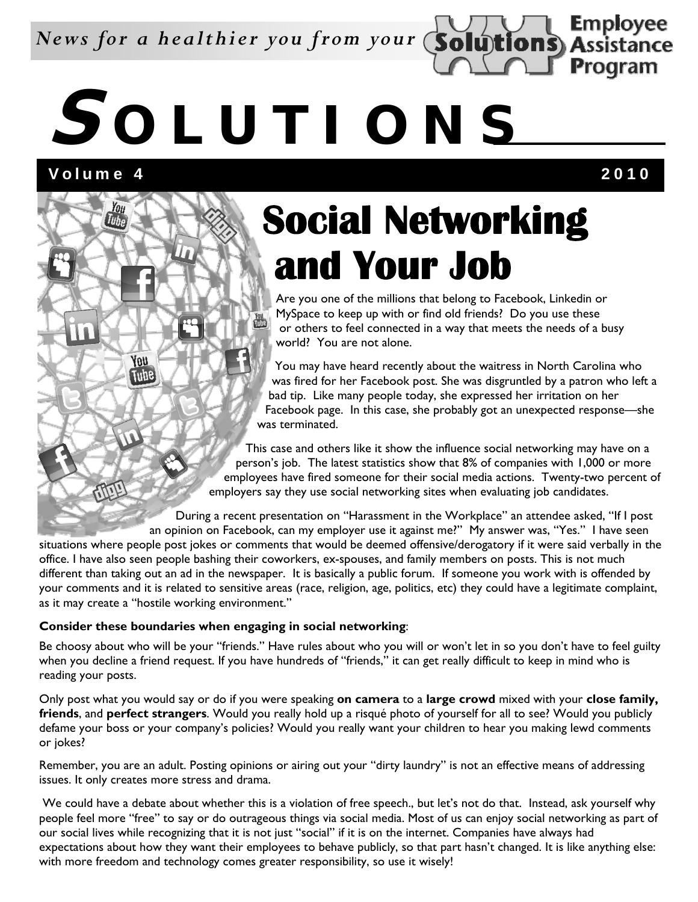*News for a healthier you from your*

# **S OLUTIONS**

Volume 4 2010

**Tube** 

You Tube

RTILL

**Employee Assistance** 

Program

### **Social Networking and Your Job**

Are you one of the millions that belong to Facebook, Linkedin or MySpace to keep up with or find old friends? Do you use these or others to feel connected in a way that meets the needs of a busy world? You are not alone.

You may have heard recently about the waitress in North Carolina who was fired for her Facebook post. She was disgruntled by a patron who left a bad tip. Like many people today, she expressed her irritation on her Facebook page. In this case, she probably got an unexpected response—she was terminated.

This case and others like it show the influence social networking may have on a person's job. The latest statistics show that 8% of companies with 1,000 or more employees have fired someone for their social media actions. Twenty-two percent of employers say they use social networking sites when evaluating job candidates.

During a recent presentation on "Harassment in the Workplace" an attendee asked, "If I post an opinion on Facebook, can my employer use it against me?" My answer was, "Yes." I have seen

situations where people post jokes or comments that would be deemed offensive/derogatory if it were said verbally in the office. I have also seen people bashing their coworkers, ex-spouses, and family members on posts. This is not much different than taking out an ad in the newspaper. It is basically a public forum. If someone you work with is offended by your comments and it is related to sensitive areas (race, religion, age, politics, etc) they could have a legitimate complaint, as it may create a "hostile working environment."

#### **Consider these boundaries when engaging in social networking**:

Be choosy about who will be your "friends." Have rules about who you will or won't let in so you don't have to feel guilty when you decline a friend request. If you have hundreds of "friends," it can get really difficult to keep in mind who is reading your posts.

Only post what you would say or do if you were speaking **on camera** to a **large crowd** mixed with your **close family, friends**, and **perfect strangers**. Would you really hold up a risqué photo of yourself for all to see? Would you publicly defame your boss or your company's policies? Would you really want your children to hear you making lewd comments or jokes?

Remember, you are an adult. Posting opinions or airing out your "dirty laundry" is not an effective means of addressing issues. It only creates more stress and drama.

We could have a debate about whether this is a violation of free speech., but let's not do that. Instead, ask yourself why people feel more "free" to say or do outrageous things via social media. Most of us can enjoy social networking as part of our social lives while recognizing that it is not just "social" if it is on the internet. Companies have always had expectations about how they want their employees to behave publicly, so that part hasn't changed. It is like anything else: with more freedom and technology comes greater responsibility, so use it wisely!